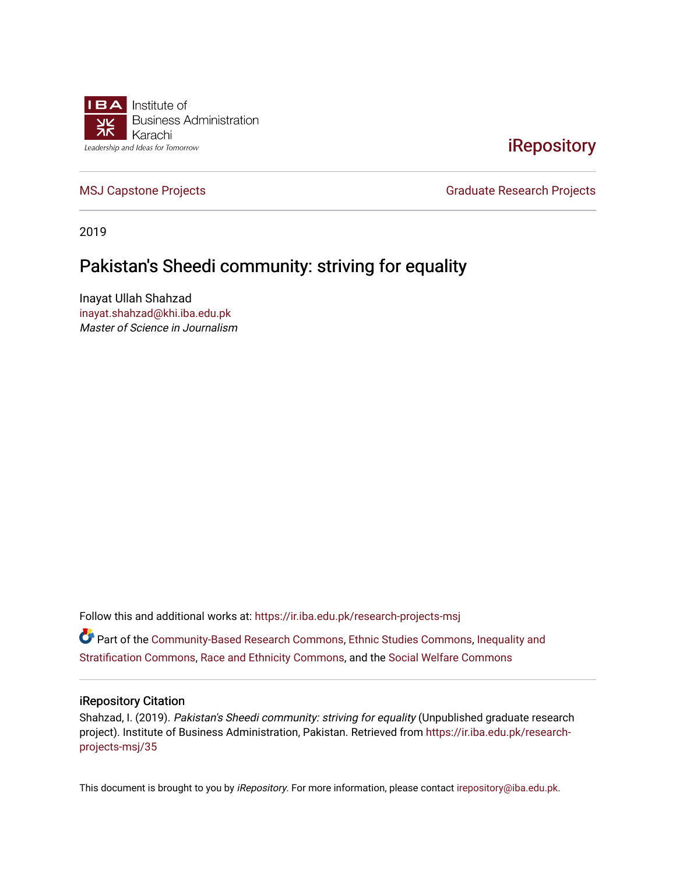

#### **iRepository**

[MSJ Capstone Projects](https://ir.iba.edu.pk/research-projects-msj) **Graduate Research Projects** Graduate Research Projects

2019

#### Pakistan's Sheedi community: striving for equality

Inayat Ullah Shahzad [inayat.shahzad@khi.iba.edu.pk](mailto:inayat.shahzad@khi.iba.edu.pk) Master of Science in Journalism

Follow this and additional works at: [https://ir.iba.edu.pk/research-projects-msj](https://ir.iba.edu.pk/research-projects-msj?utm_source=ir.iba.edu.pk%2Fresearch-projects-msj%2F35&utm_medium=PDF&utm_campaign=PDFCoverPages)

Part of the [Community-Based Research Commons](http://network.bepress.com/hgg/discipline/1047?utm_source=ir.iba.edu.pk%2Fresearch-projects-msj%2F35&utm_medium=PDF&utm_campaign=PDFCoverPages), [Ethnic Studies Commons,](http://network.bepress.com/hgg/discipline/570?utm_source=ir.iba.edu.pk%2Fresearch-projects-msj%2F35&utm_medium=PDF&utm_campaign=PDFCoverPages) [Inequality and](http://network.bepress.com/hgg/discipline/421?utm_source=ir.iba.edu.pk%2Fresearch-projects-msj%2F35&utm_medium=PDF&utm_campaign=PDFCoverPages) [Stratification Commons](http://network.bepress.com/hgg/discipline/421?utm_source=ir.iba.edu.pk%2Fresearch-projects-msj%2F35&utm_medium=PDF&utm_campaign=PDFCoverPages), [Race and Ethnicity Commons](http://network.bepress.com/hgg/discipline/426?utm_source=ir.iba.edu.pk%2Fresearch-projects-msj%2F35&utm_medium=PDF&utm_campaign=PDFCoverPages), and the [Social Welfare Commons](http://network.bepress.com/hgg/discipline/401?utm_source=ir.iba.edu.pk%2Fresearch-projects-msj%2F35&utm_medium=PDF&utm_campaign=PDFCoverPages)

#### iRepository Citation

Shahzad, I. (2019). Pakistan's Sheedi community: striving for equality (Unpublished graduate research project). Institute of Business Administration, Pakistan. Retrieved from [https://ir.iba.edu.pk/research](https://ir.iba.edu.pk/research-projects-msj/35?utm_source=ir.iba.edu.pk%2Fresearch-projects-msj%2F35&utm_medium=PDF&utm_campaign=PDFCoverPages)[projects-msj/35](https://ir.iba.edu.pk/research-projects-msj/35?utm_source=ir.iba.edu.pk%2Fresearch-projects-msj%2F35&utm_medium=PDF&utm_campaign=PDFCoverPages)

This document is brought to you by iRepository. For more information, please contact [irepository@iba.edu.pk](mailto:irepository@iba.edu.pk).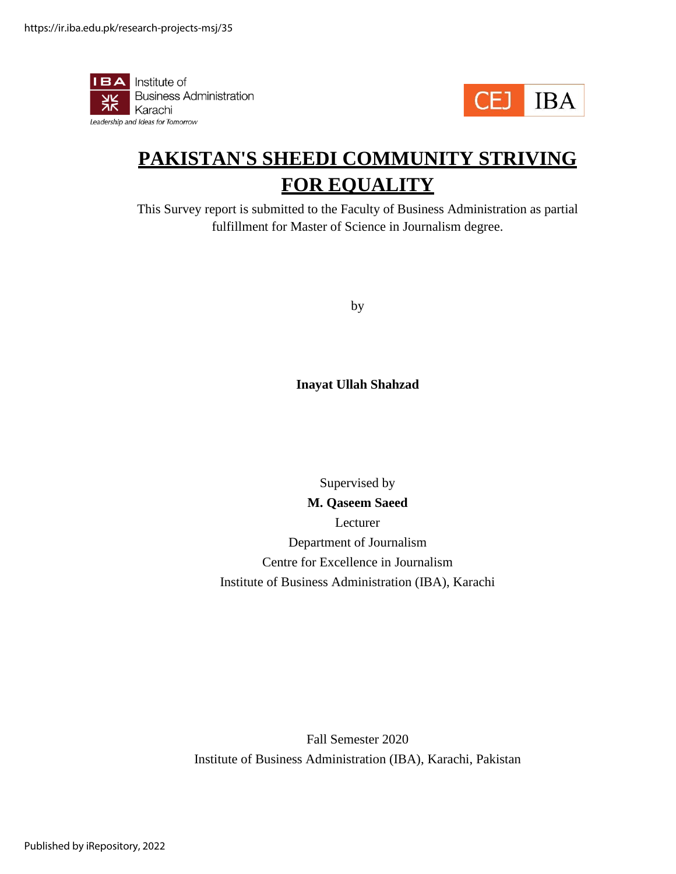



# **PAKISTAN'S SHEEDI COMMUNITY STRIVING FOR EQUALITY**

This Survey report is submitted to the Faculty of Business Administration as partial fulfillment for Master of Science in Journalism degree.

by

**Inayat Ullah Shahzad**

Supervised by

**M. Qaseem Saeed** Lecturer Department of Journalism Centre for Excellence in Journalism Institute of Business Administration (IBA), Karachi

Fall Semester 2020 Institute of Business Administration (IBA), Karachi, Pakistan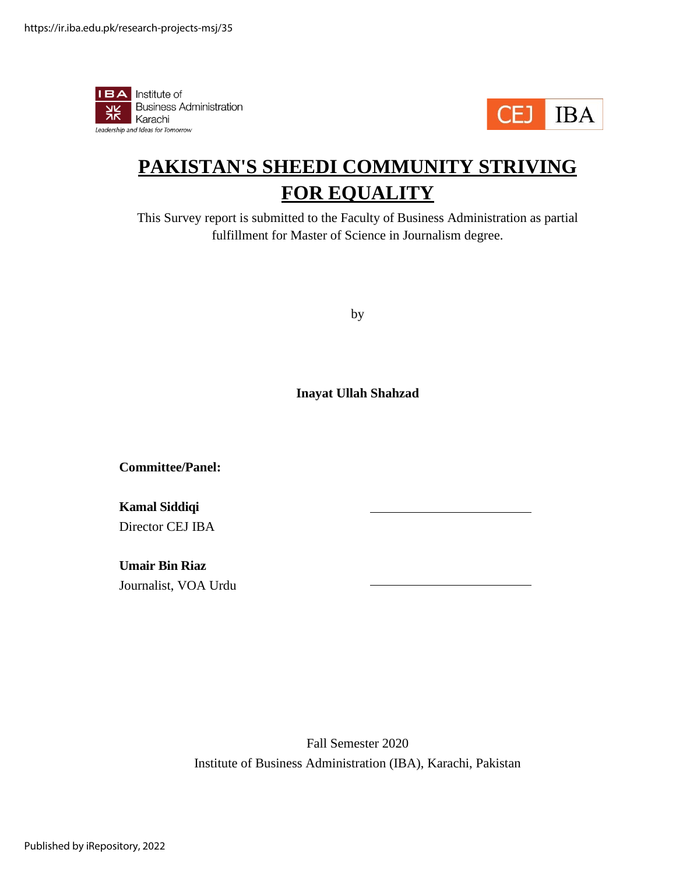



# **PAKISTAN'S SHEEDI COMMUNITY STRIVING FOR EQUALITY**

This Survey report is submitted to the Faculty of Business Administration as partial fulfillment for Master of Science in Journalism degree.

by

**Inayat Ullah Shahzad**

**Committee/Panel:**

**Kamal Siddiqi** Director CEJ IBA

**Umair Bin Riaz** Journalist, VOA Urdu

> Fall Semester 2020 Institute of Business Administration (IBA), Karachi, Pakistan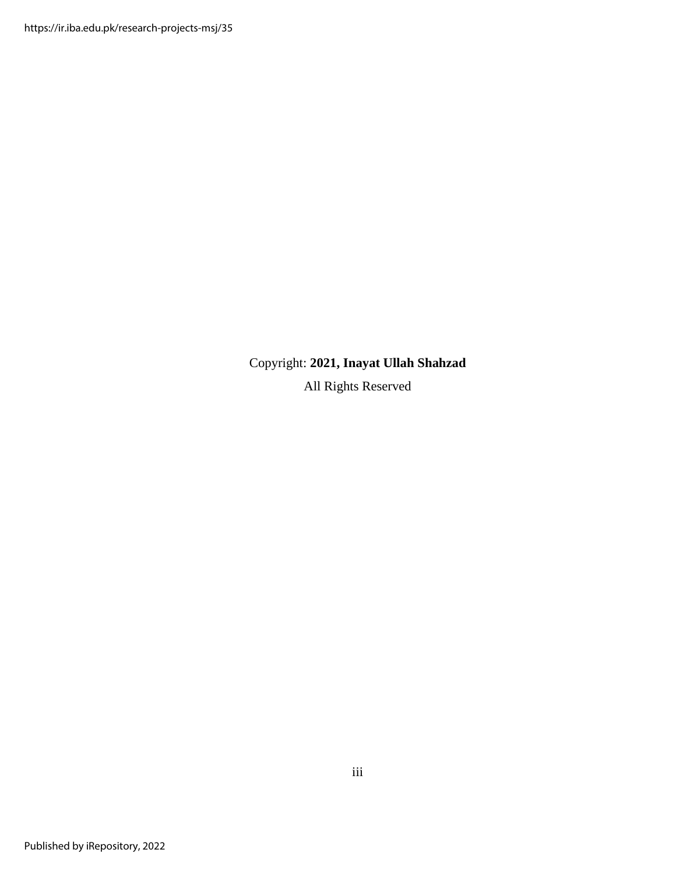https://ir.iba.edu.pk/research-projects-msj/35

<span id="page-3-0"></span>Copyright: **2021, Inayat Ullah Shahzad**

All Rights Reserved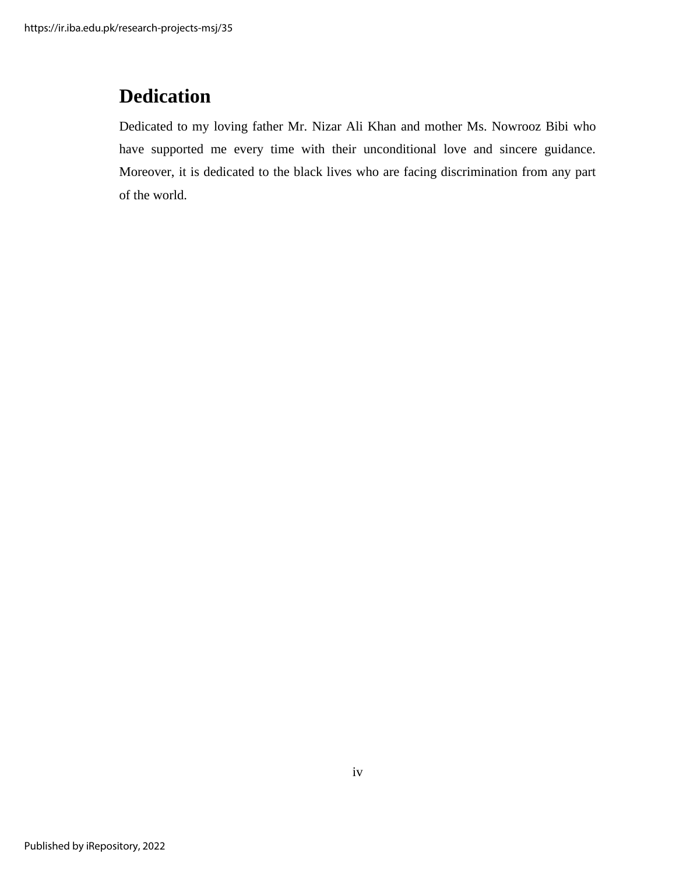## **Dedication**

<span id="page-4-0"></span>Dedicated to my loving father Mr. Nizar Ali Khan and mother Ms. Nowrooz Bibi who have supported me every time with their unconditional love and sincere guidance. Moreover, it is dedicated to the black lives who are facing discrimination from any part of the world.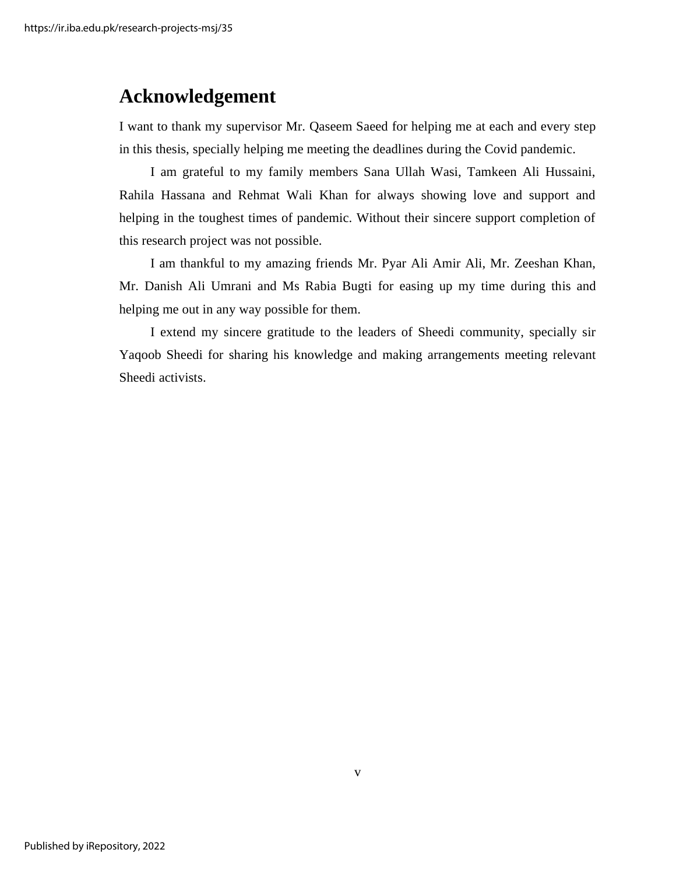#### **Acknowledgement**

I want to thank my supervisor Mr. Qaseem Saeed for helping me at each and every step in this thesis, specially helping me meeting the deadlines during the Covid pandemic.

I am grateful to my family members Sana Ullah Wasi, Tamkeen Ali Hussaini, Rahila Hassana and Rehmat Wali Khan for always showing love and support and helping in the toughest times of pandemic. Without their sincere support completion of this research project was not possible.

I am thankful to my amazing friends Mr. Pyar Ali Amir Ali, Mr. Zeeshan Khan, Mr. Danish Ali Umrani and Ms Rabia Bugti for easing up my time during this and helping me out in any way possible for them.

I extend my sincere gratitude to the leaders of Sheedi community, specially sir Yaqoob Sheedi for sharing his knowledge and making arrangements meeting relevant Sheedi activists.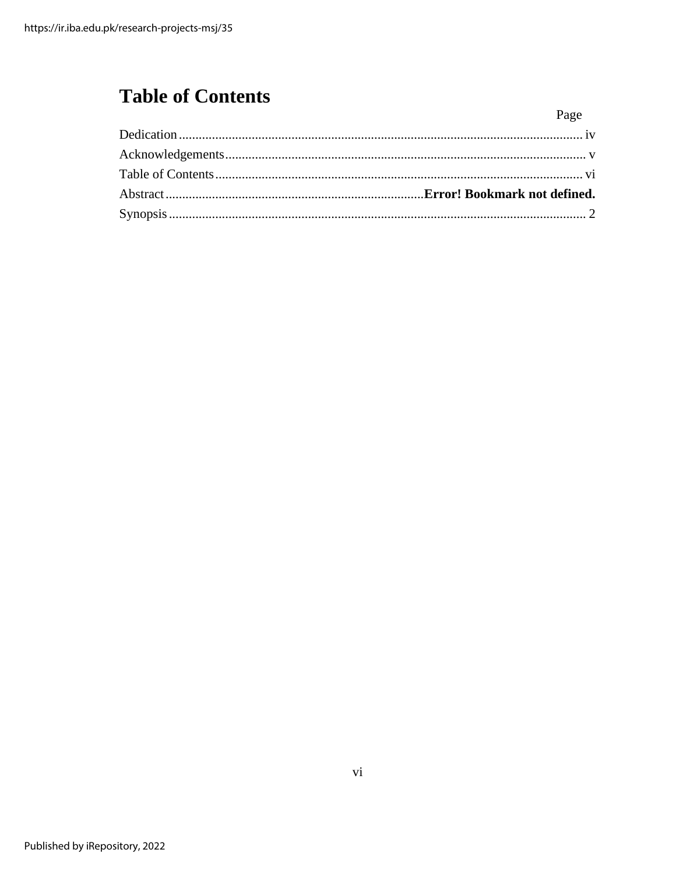# <span id="page-6-0"></span>**Table of Contents**

| Page |
|------|
|      |
|      |
|      |
|      |
|      |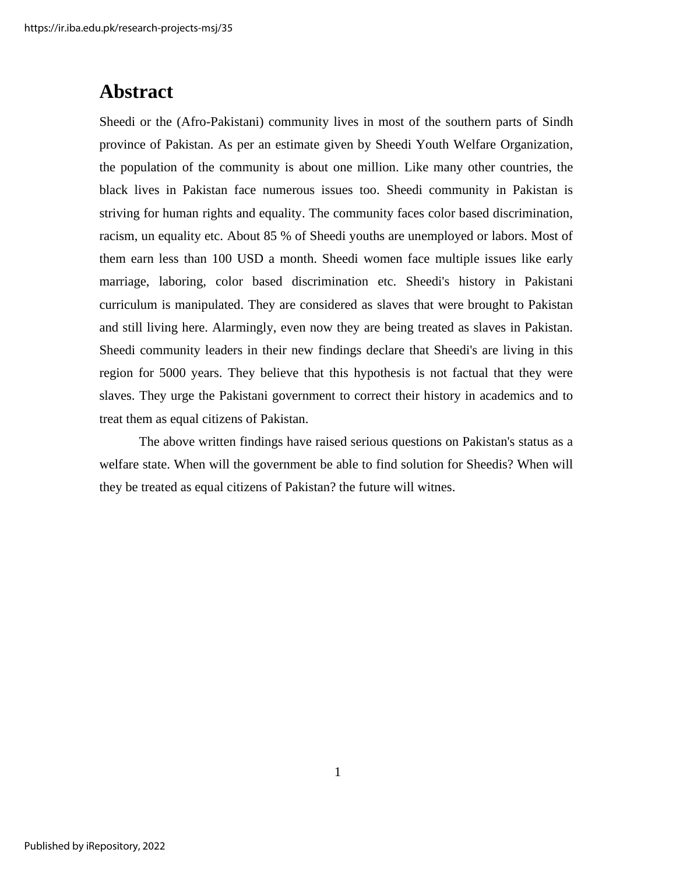## **Abstract**

Sheedi or the (Afro-Pakistani) community lives in most of the southern parts of Sindh province of Pakistan. As per an estimate given by Sheedi Youth Welfare Organization, the population of the community is about one million. Like many other countries, the black lives in Pakistan face numerous issues too. Sheedi community in Pakistan is striving for human rights and equality. The community faces color based discrimination, racism, un equality etc. About 85 % of Sheedi youths are unemployed or labors. Most of them earn less than 100 USD a month. Sheedi women face multiple issues like early marriage, laboring, color based discrimination etc. Sheedi's history in Pakistani curriculum is manipulated. They are considered as slaves that were brought to Pakistan and still living here. Alarmingly, even now they are being treated as slaves in Pakistan. Sheedi community leaders in their new findings declare that Sheedi's are living in this region for 5000 years. They believe that this hypothesis is not factual that they were slaves. They urge the Pakistani government to correct their history in academics and to treat them as equal citizens of Pakistan.

The above written findings have raised serious questions on Pakistan's status as a welfare state. When will the government be able to find solution for Sheedis? When will they be treated as equal citizens of Pakistan? the future will witnes.